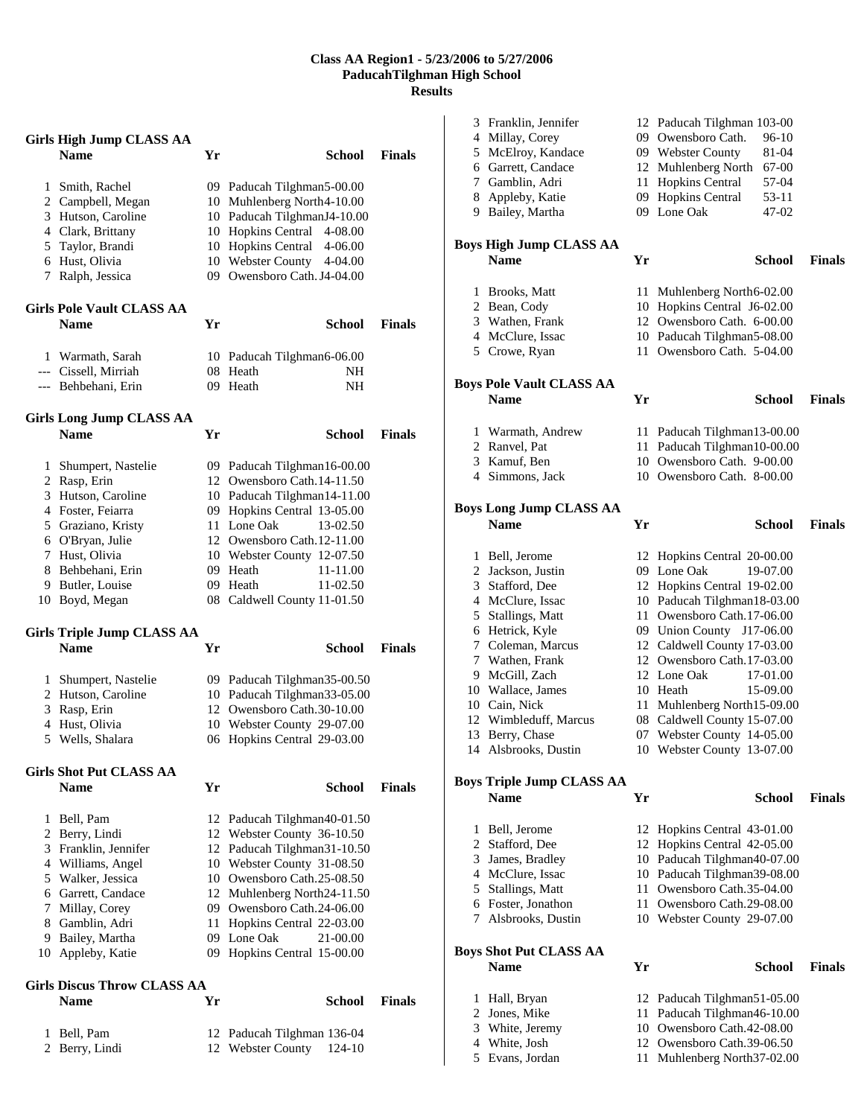## **Class AA Region1 - 5/23/2006 to 5/27/2006 PaducahTilghman High School Results**

|              | <b>Girls High Jump CLASS AA</b>                 |    |                                 |               |
|--------------|-------------------------------------------------|----|---------------------------------|---------------|
|              | <b>Name</b>                                     | Yr | School                          | <b>Finals</b> |
| $\mathbf{1}$ | Smith, Rachel                                   |    | 09 Paducah Tilghman5-00.00      |               |
|              | 2 Campbell, Megan                               |    | 10 Muhlenberg North4-10.00      |               |
|              | 3 Hutson, Caroline                              |    | 10 Paducah TilghmanJ4-10.00     |               |
|              | 4 Clark, Brittany                               |    | 10 Hopkins Central 4-08.00      |               |
|              | 5 Taylor, Brandi                                |    | 10 Hopkins Central 4-06.00      |               |
|              | 6 Hust, Olivia                                  |    | 10 Webster County 4-04.00       |               |
|              | 7 Ralph, Jessica                                |    | 09 Owensboro Cath. J4-04.00     |               |
|              | <b>Girls Pole Vault CLASS AA</b><br><b>Name</b> | Yr | School                          | <b>Finals</b> |
|              |                                                 |    |                                 |               |
|              | 1 Warmath, Sarah                                |    | 10 Paducah Tilghman6-06.00      |               |
|              | --- Cissell, Mirriah                            | 08 | Heath<br>NΗ                     |               |
|              | --- Behbehani, Erin                             |    | 09 Heath<br>NΗ                  |               |
|              | <b>Girls Long Jump CLASS AA</b>                 |    |                                 |               |
|              | <b>Name</b>                                     | Yr | School                          | <b>Finals</b> |
| 1            | Shumpert, Nastelie                              |    | 09 Paducah Tilghman16-00.00     |               |
|              | 2 Rasp, Erin                                    |    | 12 Owensboro Cath. 14-11.50     |               |
|              | 3 Hutson, Caroline                              |    | 10 Paducah Tilghman14-11.00     |               |
|              | 4 Foster, Feiarra                               |    | 09 Hopkins Central 13-05.00     |               |
|              | 5 Graziano, Kristy                              |    | 11 Lone Oak<br>13-02.50         |               |
|              | 6 O'Bryan, Julie                                |    | 12 Owensboro Cath. 12-11.00     |               |
|              | 7 Hust, Olivia                                  |    | 10 Webster County 12-07.50      |               |
|              | 8 Behbehani, Erin                               |    | 09 Heath<br>11-11.00            |               |
|              | 9 Butler, Louise                                |    | 09 Heath<br>11-02.50            |               |
|              | 10 Boyd, Megan                                  |    | 08 Caldwell County 11-01.50     |               |
|              | <b>Girls Triple Jump CLASS AA</b>               |    |                                 |               |
|              | <b>Name</b>                                     | Yr | School                          | <b>Finals</b> |
| 1            | Shumpert, Nastelie                              |    | 09 Paducah Tilghman35-00.50     |               |
|              | 2 Hutson, Caroline                              |    | 10 Paducah Tilghman33-05.00     |               |
|              | 3 Rasp, Erin                                    |    | 12 Owensboro Cath. 30-10.00     |               |
|              | 4 Hust, Olivia                                  |    | 10 Webster County 29-07.00      |               |
|              | 5 Wells, Shalara                                |    | 06 Hopkins Central 29-03.00     |               |
|              | <b>Girls Shot Put CLASS AA</b>                  |    |                                 |               |
|              | <b>Name</b>                                     | Yr | <b>School</b>                   | <b>Finals</b> |
| 1            | Bell, Pam                                       |    | 12 Paducah Tilghman40-01.50     |               |
|              | 2 Berry, Lindi                                  |    | 12 Webster County 36-10.50      |               |
|              | 3 Franklin, Jennifer                            |    | 12 Paducah Tilghman31-10.50     |               |
|              | 4 Williams, Angel                               |    | 10 Webster County 31-08.50      |               |
|              | 5 Walker, Jessica                               |    | 10 Owensboro Cath.25-08.50      |               |
|              | 6 Garrett, Candace                              |    | 12 Muhlenberg North24-11.50     |               |
|              | 7 Millay, Corey                                 |    | 09 Owensboro Cath.24-06.00      |               |
|              | 8 Gamblin, Adri                                 |    | 11 Hopkins Central 22-03.00     |               |
|              | 9 Bailey, Martha                                |    | 09 Lone Oak<br>21-00.00         |               |
| 10           | Appleby, Katie                                  |    | 09 Hopkins Central 15-00.00     |               |
|              | <b>Girls Discus Throw CLASS AA</b>              |    |                                 |               |
|              | <b>Name</b>                                     | Yr | School                          | <b>Finals</b> |
| 1            | Bell, Pam                                       |    | 12 Paducah Tilghman 136-04      |               |
| 2            | Berry, Lindi                                    | 12 | <b>Webster County</b><br>124-10 |               |

|              | 3 Franklin, Jennifer                           |      | 12 Paducah Tilghman 103-00                                 |               |               |
|--------------|------------------------------------------------|------|------------------------------------------------------------|---------------|---------------|
|              | 4 Millay, Corey                                |      | 09 Owensboro Cath.                                         | 96-10         |               |
|              | 5 McElroy, Kandace                             |      | 09 Webster County                                          | 81-04         |               |
|              | 6 Garrett, Candace                             |      | 12 Muhlenberg North                                        | 67-00         |               |
|              | 7 Gamblin, Adri                                |      | 11 Hopkins Central                                         | 57-04         |               |
|              | 8 Appleby, Katie                               |      | 09 Hopkins Central                                         | 53-11         |               |
|              | 9 Bailey, Martha                               |      | 09 Lone Oak                                                | 47-02         |               |
|              |                                                |      |                                                            |               |               |
|              | <b>Boys High Jump CLASS AA</b>                 |      |                                                            |               |               |
|              | <b>Name</b>                                    | Yr   |                                                            | <b>School</b> | <b>Finals</b> |
| 1            | <b>Brooks</b> , Matt                           | 11   | Muhlenberg North6-02.00                                    |               |               |
|              | 2 Bean, Cody                                   |      | 10 Hopkins Central J6-02.00                                |               |               |
|              | 3 Wathen, Frank                                |      | 12 Owensboro Cath. 6-00.00                                 |               |               |
|              | 4 McClure, Issac                               |      | 10 Paducah Tilghman5-08.00                                 |               |               |
|              | 5 Crowe, Ryan                                  | 11 - | Owensboro Cath. 5-04.00                                    |               |               |
|              |                                                |      |                                                            |               |               |
|              | <b>Boys Pole Vault CLASS AA</b><br><b>Name</b> | Yr   |                                                            | <b>School</b> | <b>Finals</b> |
|              |                                                |      |                                                            |               |               |
|              | 1 Warmath, Andrew                              | 11   | Paducah Tilghman13-00.00                                   |               |               |
|              | 2 Ranvel, Pat                                  | 11   | Paducah Tilghman10-00.00                                   |               |               |
|              | 3 Kamuf, Ben                                   |      | 10 Owensboro Cath. 9-00.00                                 |               |               |
|              | 4 Simmons, Jack                                |      | 10 Owensboro Cath. 8-00.00                                 |               |               |
|              | <b>Boys Long Jump CLASS AA</b>                 |      |                                                            |               |               |
|              | <b>Name</b>                                    | Yr   |                                                            | <b>School</b> | <b>Finals</b> |
|              |                                                |      |                                                            |               |               |
|              | 1 Bell, Jerome                                 |      | 12 Hopkins Central 20-00.00                                |               |               |
|              | 2 Jackson, Justin                              |      | 09 Lone Oak                                                | 19-07.00      |               |
|              | 3 Stafford, Dee                                |      | 12 Hopkins Central 19-02.00                                |               |               |
|              | 4 McClure, Issac                               |      | 10 Paducah Tilghman18-03.00                                |               |               |
|              | 5 Stallings, Matt                              |      | 11 Owensboro Cath.17-06.00                                 |               |               |
|              | 6 Hetrick, Kyle                                |      | 09 Union County J17-06.00                                  |               |               |
|              | 7 Coleman, Marcus                              |      | 12 Caldwell County 17-03.00                                |               |               |
|              | 7 Wathen, Frank                                |      | 12 Owensboro Cath.17-03.00                                 |               |               |
|              | 9 McGill, Zach                                 |      | 12 Lone Oak                                                | 17-01.00      |               |
|              | 10 Wallace, James                              |      | 10 Heath                                                   | 15-09.00      |               |
|              | 10 Cain, Nick                                  |      | 11 Muhlenberg North15-09.00                                |               |               |
|              | 12 Wimbleduff, Marcus                          |      | 08 Caldwell County 15-07.00                                |               |               |
| 13           | Berry, Chase                                   | 07   | Webster County 14-05.00                                    |               |               |
|              | 14 Alsbrooks, Dustin                           |      | 10 Webster County 13-07.00                                 |               |               |
|              | <b>Boys Triple Jump CLASS AA</b>               |      |                                                            |               |               |
|              | <b>Name</b>                                    | Yr   |                                                            | <b>School</b> | <b>Finals</b> |
|              |                                                |      |                                                            |               |               |
|              | 1 Bell, Jerome                                 |      | 12 Hopkins Central 43-01.00                                |               |               |
|              | 2 Stafford, Dee                                |      | 12 Hopkins Central 42-05.00                                |               |               |
|              | 3 James, Bradley                               |      | 10 Paducah Tilghman40-07.00                                |               |               |
|              | 4 McClure, Issac                               |      | 10 Paducah Tilghman39-08.00                                |               |               |
|              | 5 Stallings, Matt                              |      | 11 Owensboro Cath.35-04.00                                 |               |               |
|              | 6 Foster, Jonathon                             |      | 11 Owensboro Cath.29-08.00                                 |               |               |
|              | 7 Alsbrooks, Dustin                            |      | 10 Webster County 29-07.00                                 |               |               |
|              | <b>Boys Shot Put CLASS AA</b>                  |      |                                                            |               |               |
|              | <b>Name</b>                                    | Yr   |                                                            | <b>School</b> | <b>Finals</b> |
| $\mathbf{1}$ |                                                |      |                                                            |               |               |
|              | Hall, Bryan                                    |      | 12 Paducah Tilghman51-05.00<br>11 Paducah Tilghman46-10.00 |               |               |
|              |                                                |      |                                                            |               |               |
|              | 2 Jones, Mike                                  |      |                                                            |               |               |
|              | 3 White, Jeremy                                |      | 10 Owensboro Cath.42-08.00                                 |               |               |
|              | 4 White, Josh<br>5 Evans, Jordan               | 11   | 12 Owensboro Cath.39-06.50<br>Muhlenberg North37-02.00     |               |               |